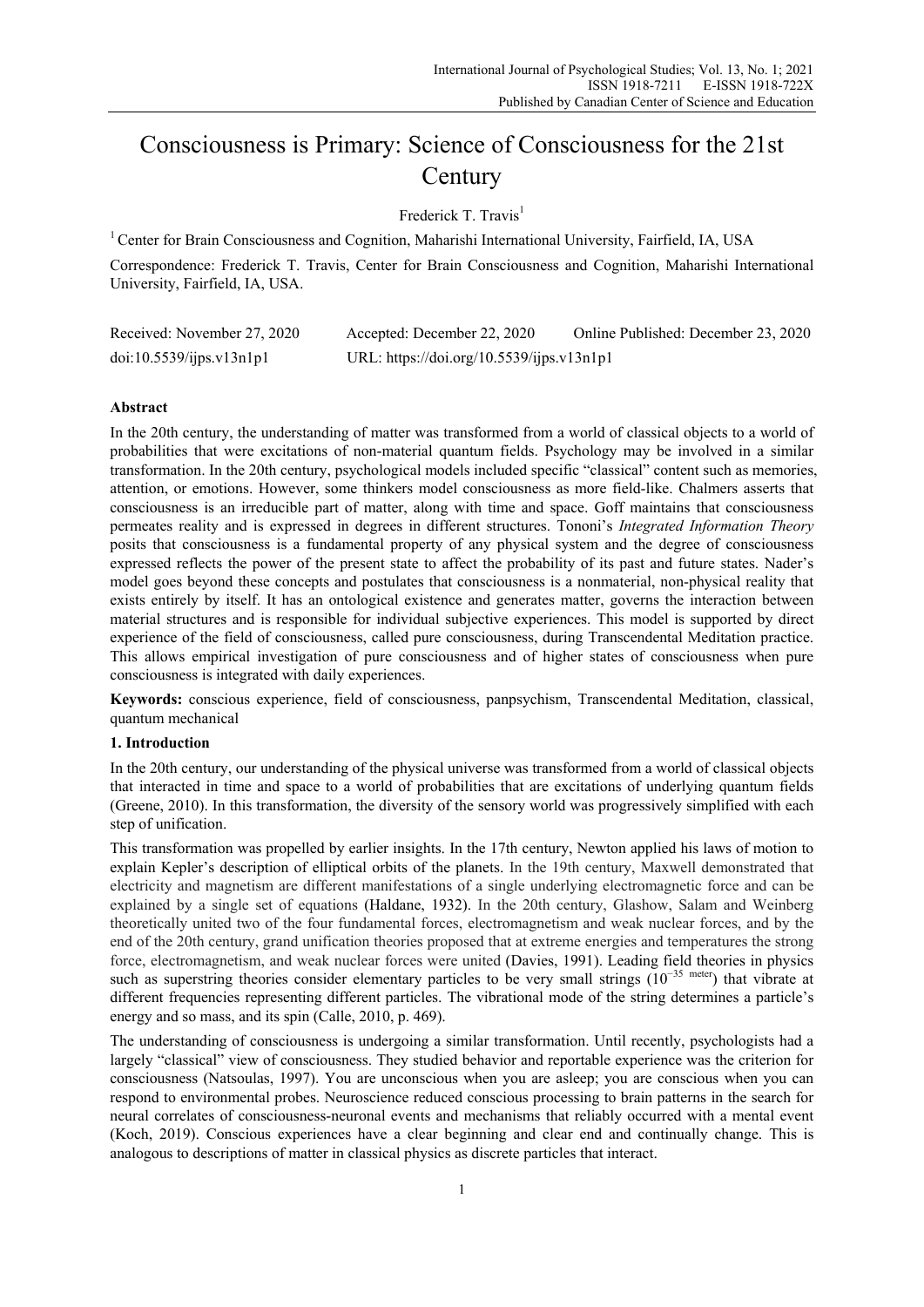# Consciousness is Primary: Science of Consciousness for the 21st **Century**

Frederick T. Travis<sup>1</sup>

<sup>1</sup> Center for Brain Consciousness and Cognition, Maharishi International University, Fairfield, IA, USA

Correspondence: Frederick T. Travis, Center for Brain Consciousness and Cognition, Maharishi International University, Fairfield, IA, USA.

| Received: November 27, 2020 | Accepted: December 22, 2020               | Online Published: December 23, 2020 |
|-----------------------------|-------------------------------------------|-------------------------------------|
| doi:10.5539/ijps.v13n1p1    | URL: https://doi.org/10.5539/ijps.v13n1p1 |                                     |

# **Abstract**

In the 20th century, the understanding of matter was transformed from a world of classical objects to a world of probabilities that were excitations of non-material quantum fields. Psychology may be involved in a similar transformation. In the 20th century, psychological models included specific "classical" content such as memories, attention, or emotions. However, some thinkers model consciousness as more field-like. Chalmers asserts that consciousness is an irreducible part of matter, along with time and space. Goff maintains that consciousness permeates reality and is expressed in degrees in different structures. Tononi's *Integrated Information Theory* posits that consciousness is a fundamental property of any physical system and the degree of consciousness expressed reflects the power of the present state to affect the probability of its past and future states. Nader's model goes beyond these concepts and postulates that consciousness is a nonmaterial, non-physical reality that exists entirely by itself. It has an ontological existence and generates matter, governs the interaction between material structures and is responsible for individual subjective experiences. This model is supported by direct experience of the field of consciousness, called pure consciousness, during Transcendental Meditation practice. This allows empirical investigation of pure consciousness and of higher states of consciousness when pure consciousness is integrated with daily experiences.

**Keywords:** conscious experience, field of consciousness, panpsychism, Transcendental Meditation, classical, quantum mechanical

# **1. Introduction**

In the 20th century, our understanding of the physical universe was transformed from a world of classical objects that interacted in time and space to a world of probabilities that are excitations of underlying quantum fields (Greene, 2010). In this transformation, the diversity of the sensory world was progressively simplified with each step of unification.

This transformation was propelled by earlier insights. In the 17th century, Newton applied his laws of motion to explain Kepler's description of elliptical orbits of the planets. In the 19th century, Maxwell demonstrated that electricity and magnetism are different manifestations of a single underlying electromagnetic force and can be explained by a single set of equations (Haldane, 1932). In the 20th century, Glashow, Salam and Weinberg theoretically united two of the four fundamental forces, electromagnetism and weak nuclear forces, and by the end of the 20th century, grand unification theories proposed that at extreme energies and temperatures the strong force, electromagnetism, and weak nuclear forces were united (Davies, 1991). Leading field theories in physics such as superstring theories consider elementary particles to be very small strings (10<sup>-35 meter</sup>) that vibrate at different frequencies representing different particles. The vibrational mode of the string determines a particle's energy and so mass, and its spin (Calle, 2010, p. 469).

The understanding of consciousness is undergoing a similar transformation. Until recently, psychologists had a largely "classical" view of consciousness. They studied behavior and reportable experience was the criterion for consciousness (Natsoulas, 1997). You are unconscious when you are asleep; you are conscious when you can respond to environmental probes. Neuroscience reduced conscious processing to brain patterns in the search for neural correlates of consciousness-neuronal events and mechanisms that reliably occurred with a mental event (Koch, 2019). Conscious experiences have a clear beginning and clear end and continually change. This is analogous to descriptions of matter in classical physics as discrete particles that interact.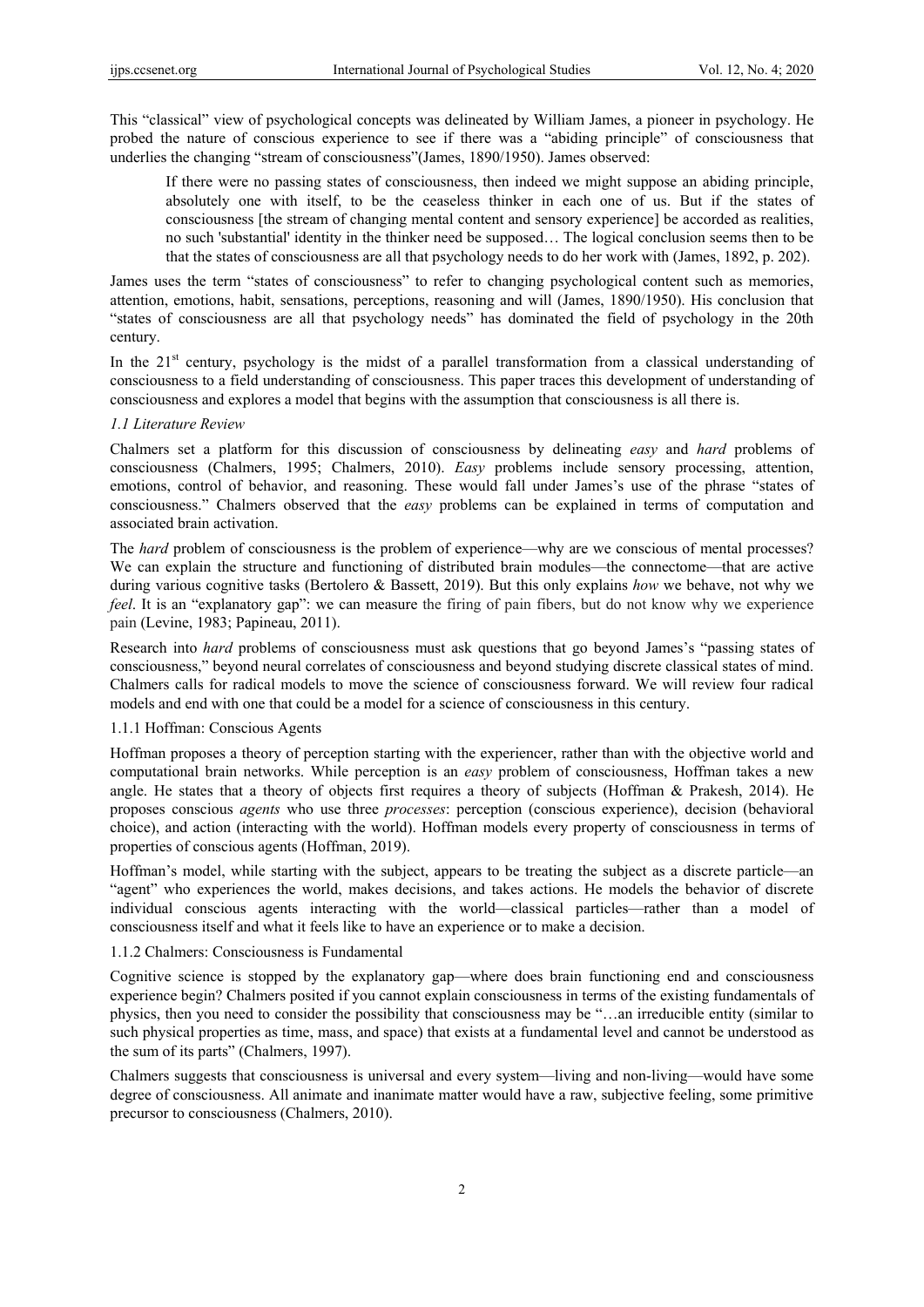This "classical" view of psychological concepts was delineated by William James, a pioneer in psychology. He probed the nature of conscious experience to see if there was a "abiding principle" of consciousness that underlies the changing "stream of consciousness"(James, 1890/1950). James observed:

If there were no passing states of consciousness, then indeed we might suppose an abiding principle, absolutely one with itself, to be the ceaseless thinker in each one of us. But if the states of consciousness [the stream of changing mental content and sensory experience] be accorded as realities, no such 'substantial' identity in the thinker need be supposed… The logical conclusion seems then to be that the states of consciousness are all that psychology needs to do her work with (James, 1892, p. 202).

James uses the term "states of consciousness" to refer to changing psychological content such as memories, attention, emotions, habit, sensations, perceptions, reasoning and will (James, 1890/1950). His conclusion that "states of consciousness are all that psychology needs" has dominated the field of psychology in the 20th century.

In the  $21<sup>st</sup>$  century, psychology is the midst of a parallel transformation from a classical understanding of consciousness to a field understanding of consciousness. This paper traces this development of understanding of consciousness and explores a model that begins with the assumption that consciousness is all there is.

## *1.1 Literature Review*

Chalmers set a platform for this discussion of consciousness by delineating *easy* and *hard* problems of consciousness (Chalmers, 1995; Chalmers, 2010). *Easy* problems include sensory processing, attention, emotions, control of behavior, and reasoning. These would fall under James's use of the phrase "states of consciousness." Chalmers observed that the *easy* problems can be explained in terms of computation and associated brain activation.

The *hard* problem of consciousness is the problem of experience—why are we conscious of mental processes? We can explain the structure and functioning of distributed brain modules—the connectome—that are active during various cognitive tasks (Bertolero & Bassett, 2019). But this only explains *how* we behave, not why we *feel*. It is an "explanatory gap": we can measure the firing of pain fibers, but do not know why we experience pain (Levine, 1983; Papineau, 2011).

Research into *hard* problems of consciousness must ask questions that go beyond James's "passing states of consciousness," beyond neural correlates of consciousness and beyond studying discrete classical states of mind. Chalmers calls for radical models to move the science of consciousness forward. We will review four radical models and end with one that could be a model for a science of consciousness in this century.

## 1.1.1 Hoffman: Conscious Agents

Hoffman proposes a theory of perception starting with the experiencer, rather than with the objective world and computational brain networks. While perception is an *easy* problem of consciousness, Hoffman takes a new angle. He states that a theory of objects first requires a theory of subjects (Hoffman & Prakesh, 2014). He proposes conscious *agents* who use three *processes*: perception (conscious experience), decision (behavioral choice), and action (interacting with the world). Hoffman models every property of consciousness in terms of properties of conscious agents (Hoffman, 2019).

Hoffman's model, while starting with the subject, appears to be treating the subject as a discrete particle—an "agent" who experiences the world, makes decisions, and takes actions. He models the behavior of discrete individual conscious agents interacting with the world—classical particles—rather than a model of consciousness itself and what it feels like to have an experience or to make a decision.

#### 1.1.2 Chalmers: Consciousness is Fundamental

Cognitive science is stopped by the explanatory gap—where does brain functioning end and consciousness experience begin? Chalmers posited if you cannot explain consciousness in terms of the existing fundamentals of physics, then you need to consider the possibility that consciousness may be "…an irreducible entity (similar to such physical properties as time, mass, and space) that exists at a fundamental level and cannot be understood as the sum of its parts" (Chalmers, 1997).

Chalmers suggests that consciousness is universal and every system—living and non-living—would have some degree of consciousness. All animate and inanimate matter would have a raw, subjective feeling, some primitive precursor to consciousness (Chalmers, 2010).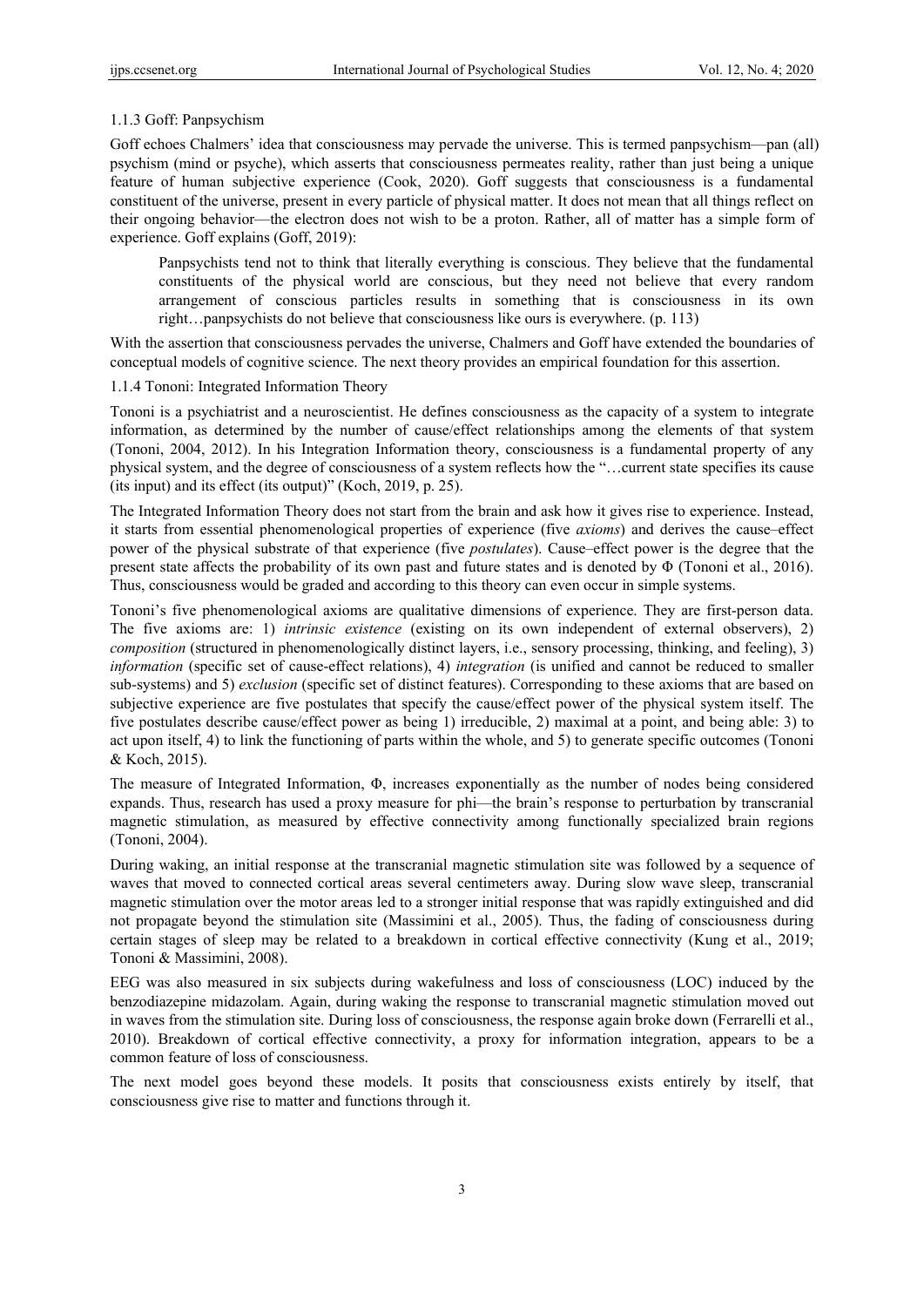## 1.1.3 Goff: Panpsychism

Goff echoes Chalmers' idea that consciousness may pervade the universe. This is termed panpsychism—pan (all) psychism (mind or psyche), which asserts that consciousness permeates reality, rather than just being a unique feature of human subjective experience (Cook, 2020). Goff suggests that consciousness is a fundamental constituent of the universe, present in every particle of physical matter. It does not mean that all things reflect on their ongoing behavior—the electron does not wish to be a proton. Rather, all of matter has a simple form of experience. Goff explains (Goff, 2019):

Panpsychists tend not to think that literally everything is conscious. They believe that the fundamental constituents of the physical world are conscious, but they need not believe that every random arrangement of conscious particles results in something that is consciousness in its own right…panpsychists do not believe that consciousness like ours is everywhere. (p. 113)

With the assertion that consciousness pervades the universe, Chalmers and Goff have extended the boundaries of conceptual models of cognitive science. The next theory provides an empirical foundation for this assertion.

## 1.1.4 Tononi: Integrated Information Theory

Tononi is a psychiatrist and a neuroscientist. He defines consciousness as the capacity of a system to integrate information, as determined by the number of cause/effect relationships among the elements of that system (Tononi, 2004, 2012). In his Integration Information theory, consciousness is a fundamental property of any physical system, and the degree of consciousness of a system reflects how the "…current state specifies its cause (its input) and its effect (its output)" (Koch, 2019, p. 25).

The Integrated Information Theory does not start from the brain and ask how it gives rise to experience. Instead, it starts from essential phenomenological properties of experience (five *axioms*) and derives the cause–effect power of the physical substrate of that experience (five *postulates*). Cause–effect power is the degree that the present state affects the probability of its own past and future states and is denoted by Φ (Tononi et al., 2016). Thus, consciousness would be graded and according to this theory can even occur in simple systems.

Tononi's five phenomenological axioms are qualitative dimensions of experience. They are first-person data. The five axioms are: 1) *intrinsic existence* (existing on its own independent of external observers), 2) *composition* (structured in phenomenologically distinct layers, i.e., sensory processing, thinking, and feeling), 3) *information* (specific set of cause-effect relations), 4) *integration* (is unified and cannot be reduced to smaller sub-systems) and 5) *exclusion* (specific set of distinct features). Corresponding to these axioms that are based on subjective experience are five postulates that specify the cause/effect power of the physical system itself. The five postulates describe cause/effect power as being 1) irreducible, 2) maximal at a point, and being able: 3) to act upon itself, 4) to link the functioning of parts within the whole, and 5) to generate specific outcomes (Tononi & Koch, 2015).

The measure of Integrated Information, Φ, increases exponentially as the number of nodes being considered expands. Thus, research has used a proxy measure for phi—the brain's response to perturbation by transcranial magnetic stimulation, as measured by effective connectivity among functionally specialized brain regions (Tononi, 2004).

During waking, an initial response at the transcranial magnetic stimulation site was followed by a sequence of waves that moved to connected cortical areas several centimeters away. During slow wave sleep, transcranial magnetic stimulation over the motor areas led to a stronger initial response that was rapidly extinguished and did not propagate beyond the stimulation site (Massimini et al., 2005). Thus, the fading of consciousness during certain stages of sleep may be related to a breakdown in cortical effective connectivity (Kung et al., 2019; Tononi & Massimini, 2008).

EEG was also measured in six subjects during wakefulness and loss of consciousness (LOC) induced by the benzodiazepine midazolam. Again, during waking the response to transcranial magnetic stimulation moved out in waves from the stimulation site. During loss of consciousness, the response again broke down (Ferrarelli et al., 2010). Breakdown of cortical effective connectivity, a proxy for information integration, appears to be a common feature of loss of consciousness.

The next model goes beyond these models. It posits that consciousness exists entirely by itself, that consciousness give rise to matter and functions through it.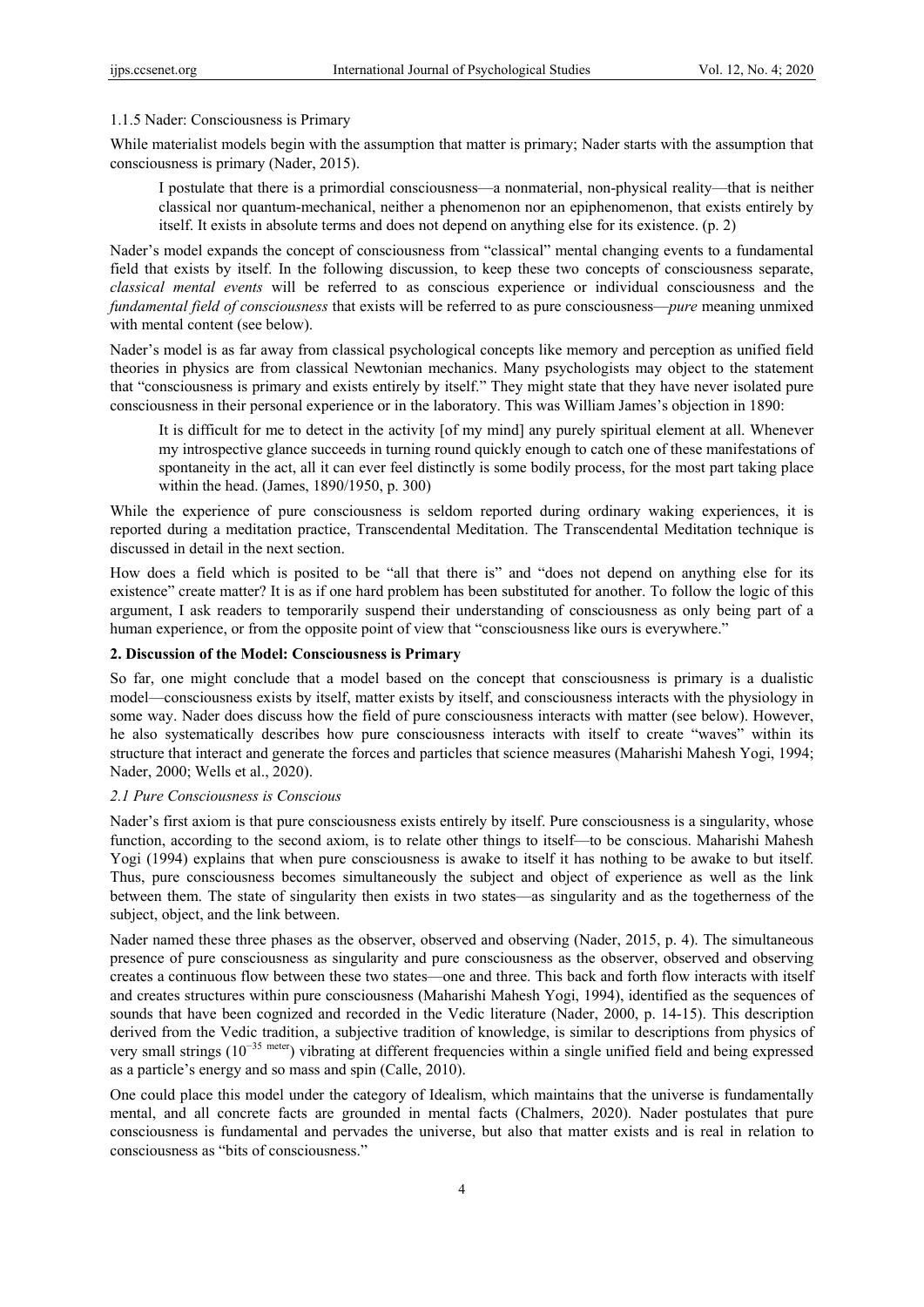## 1.1.5 Nader: Consciousness is Primary

While materialist models begin with the assumption that matter is primary; Nader starts with the assumption that consciousness is primary (Nader, 2015).

I postulate that there is a primordial consciousness—a nonmaterial, non-physical reality—that is neither classical nor quantum-mechanical, neither a phenomenon nor an epiphenomenon, that exists entirely by itself. It exists in absolute terms and does not depend on anything else for its existence. (p. 2)

Nader's model expands the concept of consciousness from "classical" mental changing events to a fundamental field that exists by itself. In the following discussion, to keep these two concepts of consciousness separate, *classical mental events* will be referred to as conscious experience or individual consciousness and the *fundamental field of consciousness* that exists will be referred to as pure consciousness—*pure* meaning unmixed with mental content (see below).

Nader's model is as far away from classical psychological concepts like memory and perception as unified field theories in physics are from classical Newtonian mechanics. Many psychologists may object to the statement that "consciousness is primary and exists entirely by itself." They might state that they have never isolated pure consciousness in their personal experience or in the laboratory. This was William James's objection in 1890:

It is difficult for me to detect in the activity [of my mind] any purely spiritual element at all. Whenever my introspective glance succeeds in turning round quickly enough to catch one of these manifestations of spontaneity in the act, all it can ever feel distinctly is some bodily process, for the most part taking place within the head. (James, 1890/1950, p. 300)

While the experience of pure consciousness is seldom reported during ordinary waking experiences, it is reported during a meditation practice, Transcendental Meditation. The Transcendental Meditation technique is discussed in detail in the next section.

How does a field which is posited to be "all that there is" and "does not depend on anything else for its existence" create matter? It is as if one hard problem has been substituted for another. To follow the logic of this argument, I ask readers to temporarily suspend their understanding of consciousness as only being part of a human experience, or from the opposite point of view that "consciousness like ours is everywhere."

# **2. Discussion of the Model: Consciousness is Primary**

So far, one might conclude that a model based on the concept that consciousness is primary is a dualistic model—consciousness exists by itself, matter exists by itself, and consciousness interacts with the physiology in some way. Nader does discuss how the field of pure consciousness interacts with matter (see below). However, he also systematically describes how pure consciousness interacts with itself to create "waves" within its structure that interact and generate the forces and particles that science measures (Maharishi Mahesh Yogi, 1994; Nader, 2000; Wells et al., 2020).

#### *2.1 Pure Consciousness is Conscious*

Nader's first axiom is that pure consciousness exists entirely by itself. Pure consciousness is a singularity, whose function, according to the second axiom, is to relate other things to itself—to be conscious. Maharishi Mahesh Yogi (1994) explains that when pure consciousness is awake to itself it has nothing to be awake to but itself. Thus, pure consciousness becomes simultaneously the subject and object of experience as well as the link between them. The state of singularity then exists in two states—as singularity and as the togetherness of the subject, object, and the link between.

Nader named these three phases as the observer, observed and observing (Nader, 2015, p. 4). The simultaneous presence of pure consciousness as singularity and pure consciousness as the observer, observed and observing creates a continuous flow between these two states—one and three. This back and forth flow interacts with itself and creates structures within pure consciousness (Maharishi Mahesh Yogi, 1994), identified as the sequences of sounds that have been cognized and recorded in the Vedic literature (Nader, 2000, p. 14-15). This description derived from the Vedic tradition, a subjective tradition of knowledge, is similar to descriptions from physics of very small strings (10−35 meter) vibrating at different frequencies within a single unified field and being expressed as a particle's energy and so mass and spin (Calle, 2010).

One could place this model under the category of Idealism, which maintains that the universe is fundamentally mental, and all concrete facts are grounded in mental facts (Chalmers, 2020). Nader postulates that pure consciousness is fundamental and pervades the universe, but also that matter exists and is real in relation to consciousness as "bits of consciousness."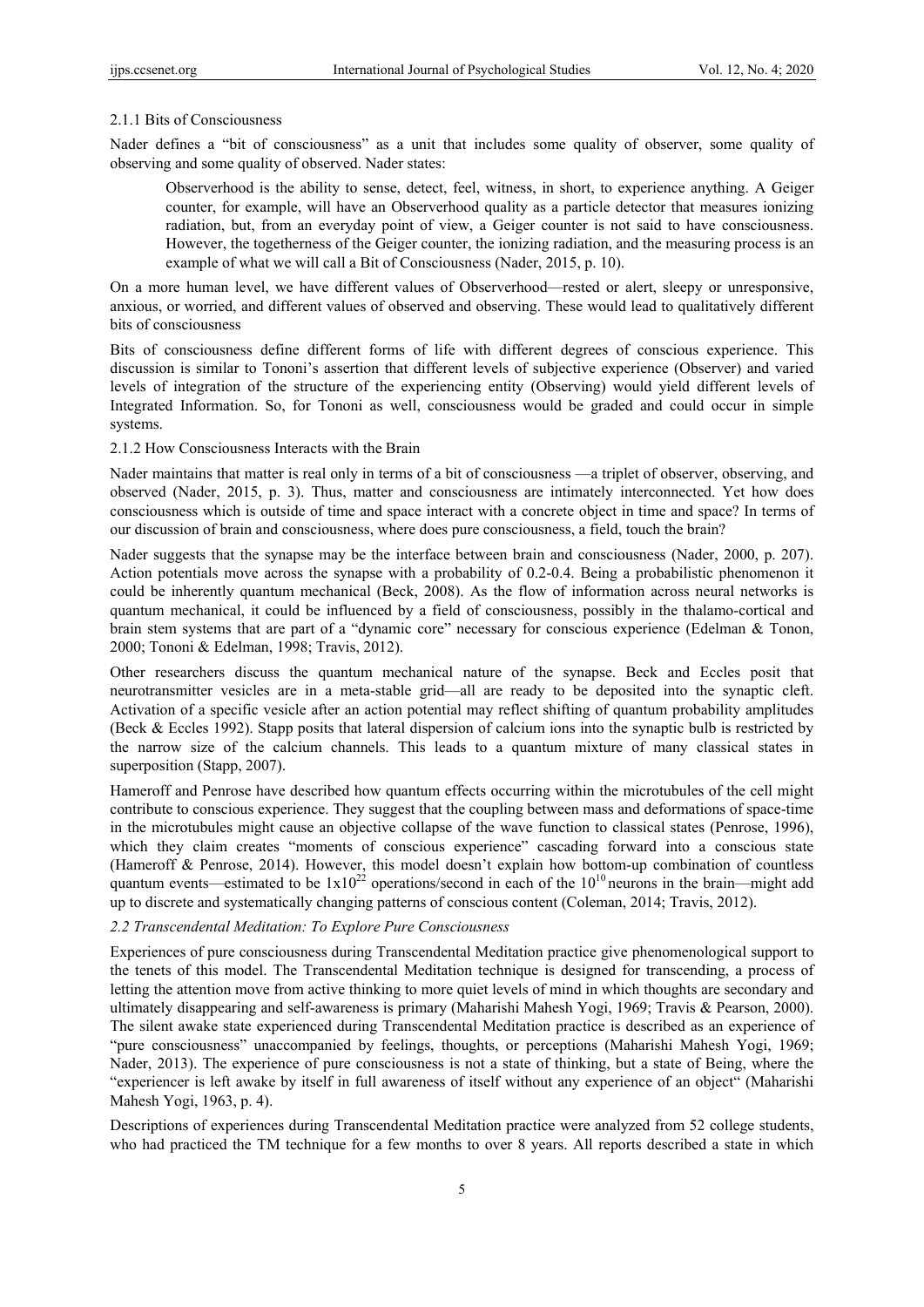#### 2.1.1 Bits of Consciousness

Nader defines a "bit of consciousness" as a unit that includes some quality of observer, some quality of observing and some quality of observed. Nader states:

Observerhood is the ability to sense, detect, feel, witness, in short, to experience anything. A Geiger counter, for example, will have an Observerhood quality as a particle detector that measures ionizing radiation, but, from an everyday point of view, a Geiger counter is not said to have consciousness. However, the togetherness of the Geiger counter, the ionizing radiation, and the measuring process is an example of what we will call a Bit of Consciousness (Nader, 2015, p. 10).

On a more human level, we have different values of Observerhood—rested or alert, sleepy or unresponsive, anxious, or worried, and different values of observed and observing. These would lead to qualitatively different bits of consciousness

Bits of consciousness define different forms of life with different degrees of conscious experience. This discussion is similar to Tononi's assertion that different levels of subjective experience (Observer) and varied levels of integration of the structure of the experiencing entity (Observing) would yield different levels of Integrated Information. So, for Tononi as well, consciousness would be graded and could occur in simple systems.

#### 2.1.2 How Consciousness Interacts with the Brain

Nader maintains that matter is real only in terms of a bit of consciousness —a triplet of observer, observing, and observed (Nader, 2015, p. 3). Thus, matter and consciousness are intimately interconnected. Yet how does consciousness which is outside of time and space interact with a concrete object in time and space? In terms of our discussion of brain and consciousness, where does pure consciousness, a field, touch the brain?

Nader suggests that the synapse may be the interface between brain and consciousness (Nader, 2000, p. 207). Action potentials move across the synapse with a probability of 0.2-0.4. Being a probabilistic phenomenon it could be inherently quantum mechanical (Beck, 2008). As the flow of information across neural networks is quantum mechanical, it could be influenced by a field of consciousness, possibly in the thalamo-cortical and brain stem systems that are part of a "dynamic core" necessary for conscious experience (Edelman & Tonon, 2000; Tononi & Edelman, 1998; Travis, 2012).

Other researchers discuss the quantum mechanical nature of the synapse. Beck and Eccles posit that neurotransmitter vesicles are in a meta-stable grid—all are ready to be deposited into the synaptic cleft. Activation of a specific vesicle after an action potential may reflect shifting of quantum probability amplitudes (Beck & Eccles 1992). Stapp posits that lateral dispersion of calcium ions into the synaptic bulb is restricted by the narrow size of the calcium channels. This leads to a quantum mixture of many classical states in superposition (Stapp, 2007).

Hameroff and Penrose have described how quantum effects occurring within the microtubules of the cell might contribute to conscious experience. They suggest that the coupling between mass and deformations of space-time in the microtubules might cause an objective collapse of the wave function to classical states (Penrose, 1996), which they claim creates "moments of conscious experience" cascading forward into a conscious state (Hameroff & Penrose, 2014). However, this model doesn't explain how bottom-up combination of countless quantum events—estimated to be  $1x10^{22}$  operations/second in each of the 10<sup>10</sup> neurons in the brain—might add up to discrete and systematically changing patterns of conscious content (Coleman, 2014; Travis, 2012).

## *2.2 Transcendental Meditation: To Explore Pure Consciousness*

Experiences of pure consciousness during Transcendental Meditation practice give phenomenological support to the tenets of this model. The Transcendental Meditation technique is designed for transcending, a process of letting the attention move from active thinking to more quiet levels of mind in which thoughts are secondary and ultimately disappearing and self-awareness is primary (Maharishi Mahesh Yogi, 1969; Travis & Pearson, 2000). The silent awake state experienced during Transcendental Meditation practice is described as an experience of "pure consciousness" unaccompanied by feelings, thoughts, or perceptions (Maharishi Mahesh Yogi, 1969; Nader, 2013). The experience of pure consciousness is not a state of thinking, but a state of Being, where the "experiencer is left awake by itself in full awareness of itself without any experience of an object" (Maharishi Mahesh Yogi, 1963, p. 4).

Descriptions of experiences during Transcendental Meditation practice were analyzed from 52 college students, who had practiced the TM technique for a few months to over 8 years. All reports described a state in which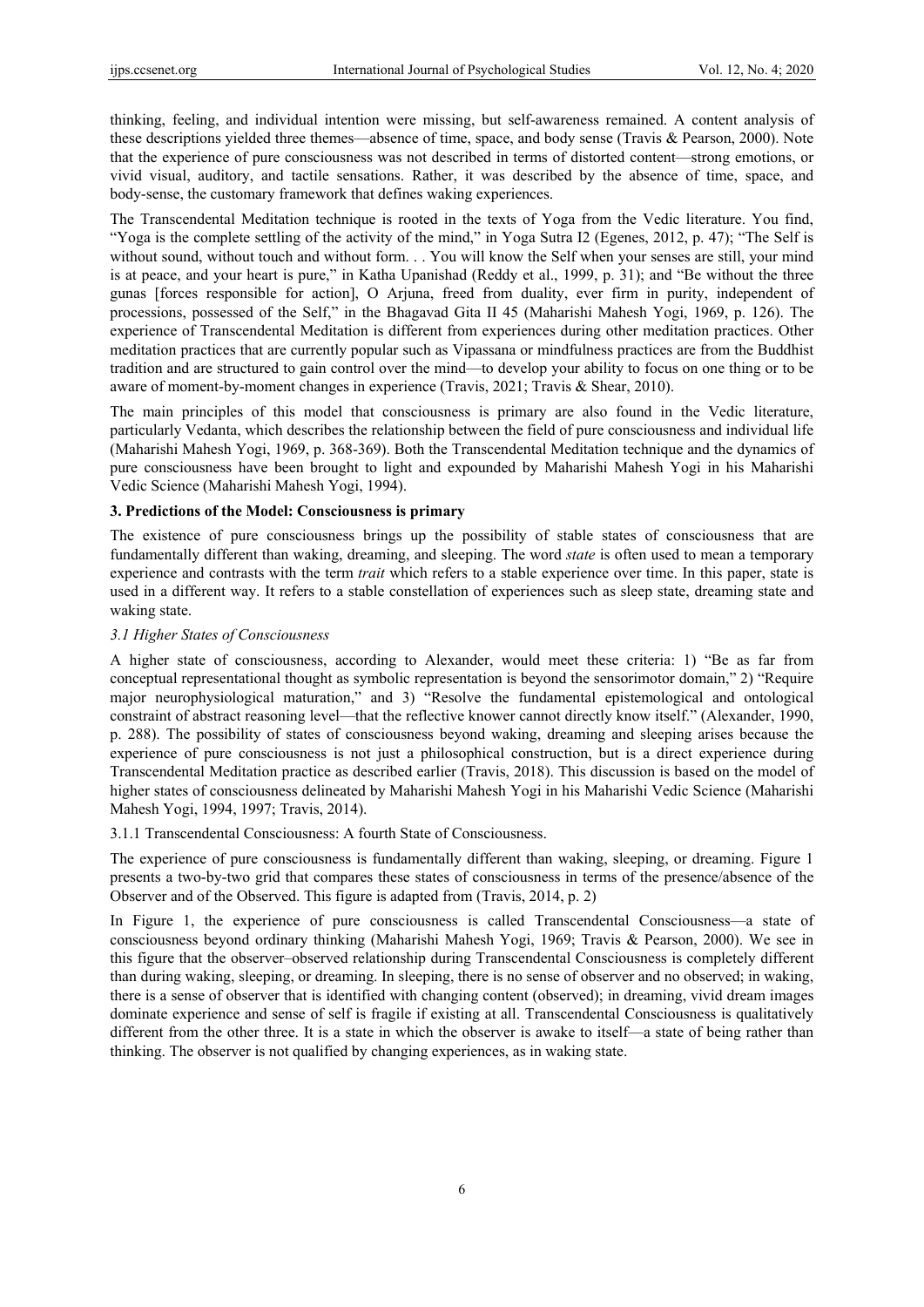thinking, feeling, and individual intention were missing, but self-awareness remained. A content analysis of these descriptions yielded three themes—absence of time, space, and body sense (Travis & Pearson, 2000). Note that the experience of pure consciousness was not described in terms of distorted content—strong emotions, or vivid visual, auditory, and tactile sensations. Rather, it was described by the absence of time, space, and body-sense, the customary framework that defines waking experiences.

The Transcendental Meditation technique is rooted in the texts of Yoga from the Vedic literature. You find, "Yoga is the complete settling of the activity of the mind," in Yoga Sutra I2 (Egenes, 2012, p. 47); "The Self is without sound, without touch and without form. . . You will know the Self when your senses are still, your mind is at peace, and your heart is pure," in Katha Upanishad (Reddy et al., 1999, p. 31); and "Be without the three gunas [forces responsible for action], O Arjuna, freed from duality, ever firm in purity, independent of processions, possessed of the Self," in the Bhagavad Gita II 45 (Maharishi Mahesh Yogi, 1969, p. 126). The experience of Transcendental Meditation is different from experiences during other meditation practices. Other meditation practices that are currently popular such as Vipassana or mindfulness practices are from the Buddhist tradition and are structured to gain control over the mind—to develop your ability to focus on one thing or to be aware of moment-by-moment changes in experience (Travis, 2021; Travis & Shear, 2010).

The main principles of this model that consciousness is primary are also found in the Vedic literature, particularly Vedanta, which describes the relationship between the field of pure consciousness and individual life (Maharishi Mahesh Yogi, 1969, p. 368-369). Both the Transcendental Meditation technique and the dynamics of pure consciousness have been brought to light and expounded by Maharishi Mahesh Yogi in his Maharishi Vedic Science (Maharishi Mahesh Yogi, 1994).

# **3. Predictions of the Model: Consciousness is primary**

The existence of pure consciousness brings up the possibility of stable states of consciousness that are fundamentally different than waking, dreaming, and sleeping. The word *state* is often used to mean a temporary experience and contrasts with the term *trait* which refers to a stable experience over time. In this paper, state is used in a different way. It refers to a stable constellation of experiences such as sleep state, dreaming state and waking state.

## *3.1 Higher States of Consciousness*

A higher state of consciousness, according to Alexander, would meet these criteria: 1) "Be as far from conceptual representational thought as symbolic representation is beyond the sensorimotor domain," 2) "Require major neurophysiological maturation," and 3) "Resolve the fundamental epistemological and ontological constraint of abstract reasoning level—that the reflective knower cannot directly know itself." (Alexander, 1990, p. 288). The possibility of states of consciousness beyond waking, dreaming and sleeping arises because the experience of pure consciousness is not just a philosophical construction, but is a direct experience during Transcendental Meditation practice as described earlier (Travis, 2018). This discussion is based on the model of higher states of consciousness delineated by Maharishi Mahesh Yogi in his Maharishi Vedic Science (Maharishi Mahesh Yogi, 1994, 1997; Travis, 2014).

3.1.1 Transcendental Consciousness: A fourth State of Consciousness.

The experience of pure consciousness is fundamentally different than waking, sleeping, or dreaming. Figure 1 presents a two-by-two grid that compares these states of consciousness in terms of the presence/absence of the Observer and of the Observed. This figure is adapted from (Travis, 2014, p. 2)

In Figure 1, the experience of pure consciousness is called Transcendental Consciousness—a state of consciousness beyond ordinary thinking (Maharishi Mahesh Yogi, 1969; Travis & Pearson, 2000). We see in this figure that the observer–observed relationship during Transcendental Consciousness is completely different than during waking, sleeping, or dreaming. In sleeping, there is no sense of observer and no observed; in waking, there is a sense of observer that is identified with changing content (observed); in dreaming, vivid dream images dominate experience and sense of self is fragile if existing at all. Transcendental Consciousness is qualitatively different from the other three. It is a state in which the observer is awake to itself—a state of being rather than thinking. The observer is not qualified by changing experiences, as in waking state.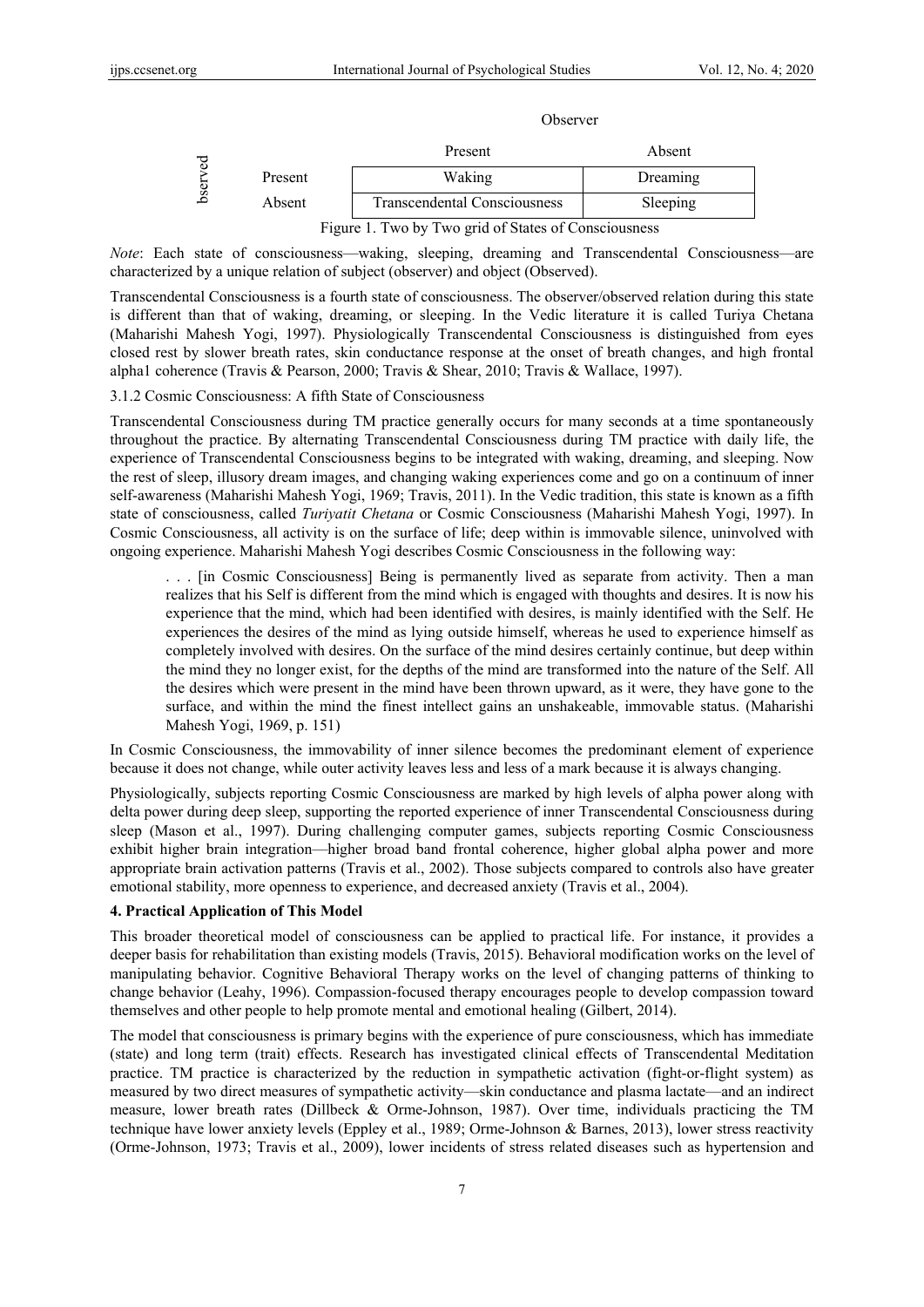#### Observer

| ğ<br>ser |         | Present                                                                             | Absent   |
|----------|---------|-------------------------------------------------------------------------------------|----------|
|          | Present | Waking                                                                              | Dreaming |
|          | Absent  | Transcendental Consciousness                                                        | Sleeping |
|          | --      | $\cdot$ $\cdot$ $\cdot$ $\cdot$ $\cdot$ $\cdot$ $\cdot$ $\cdot$<br>$\sim$<br>$\sim$ |          |

Figure 1. Two by Two grid of States of Consciousness

*Note*: Each state of consciousness—waking, sleeping, dreaming and Transcendental Consciousness—are characterized by a unique relation of subject (observer) and object (Observed).

Transcendental Consciousness is a fourth state of consciousness. The observer/observed relation during this state is different than that of waking, dreaming, or sleeping. In the Vedic literature it is called Turiya Chetana (Maharishi Mahesh Yogi, 1997). Physiologically Transcendental Consciousness is distinguished from eyes closed rest by slower breath rates, skin conductance response at the onset of breath changes, and high frontal alpha1 coherence (Travis & Pearson, 2000; Travis & Shear, 2010; Travis & Wallace, 1997).

## 3.1.2 Cosmic Consciousness: A fifth State of Consciousness

Transcendental Consciousness during TM practice generally occurs for many seconds at a time spontaneously throughout the practice. By alternating Transcendental Consciousness during TM practice with daily life, the experience of Transcendental Consciousness begins to be integrated with waking, dreaming, and sleeping. Now the rest of sleep, illusory dream images, and changing waking experiences come and go on a continuum of inner self-awareness (Maharishi Mahesh Yogi, 1969; Travis, 2011). In the Vedic tradition, this state is known as a fifth state of consciousness, called *Turiyatit Chetana* or Cosmic Consciousness (Maharishi Mahesh Yogi, 1997). In Cosmic Consciousness, all activity is on the surface of life; deep within is immovable silence, uninvolved with ongoing experience. Maharishi Mahesh Yogi describes Cosmic Consciousness in the following way:

. . . [in Cosmic Consciousness] Being is permanently lived as separate from activity. Then a man realizes that his Self is different from the mind which is engaged with thoughts and desires. It is now his experience that the mind, which had been identified with desires, is mainly identified with the Self. He experiences the desires of the mind as lying outside himself, whereas he used to experience himself as completely involved with desires. On the surface of the mind desires certainly continue, but deep within the mind they no longer exist, for the depths of the mind are transformed into the nature of the Self. All the desires which were present in the mind have been thrown upward, as it were, they have gone to the surface, and within the mind the finest intellect gains an unshakeable, immovable status. (Maharishi Mahesh Yogi, 1969, p. 151)

In Cosmic Consciousness, the immovability of inner silence becomes the predominant element of experience because it does not change, while outer activity leaves less and less of a mark because it is always changing.

Physiologically, subjects reporting Cosmic Consciousness are marked by high levels of alpha power along with delta power during deep sleep, supporting the reported experience of inner Transcendental Consciousness during sleep (Mason et al., 1997). During challenging computer games, subjects reporting Cosmic Consciousness exhibit higher brain integration—higher broad band frontal coherence, higher global alpha power and more appropriate brain activation patterns (Travis et al., 2002). Those subjects compared to controls also have greater emotional stability, more openness to experience, and decreased anxiety (Travis et al., 2004).

## **4. Practical Application of This Model**

This broader theoretical model of consciousness can be applied to practical life. For instance, it provides a deeper basis for rehabilitation than existing models (Travis, 2015). Behavioral modification works on the level of manipulating behavior. Cognitive Behavioral Therapy works on the level of changing patterns of thinking to change behavior (Leahy, 1996). Compassion-focused therapy encourages people to develop compassion toward themselves and other people to help promote mental and emotional healing (Gilbert, 2014).

The model that consciousness is primary begins with the experience of pure consciousness, which has immediate (state) and long term (trait) effects. Research has investigated clinical effects of Transcendental Meditation practice. TM practice is characterized by the reduction in sympathetic activation (fight-or-flight system) as measured by two direct measures of sympathetic activity—skin conductance and plasma lactate—and an indirect measure, lower breath rates (Dillbeck & Orme-Johnson, 1987). Over time, individuals practicing the TM technique have lower anxiety levels (Eppley et al., 1989; Orme-Johnson & Barnes, 2013), lower stress reactivity (Orme-Johnson, 1973; Travis et al., 2009), lower incidents of stress related diseases such as hypertension and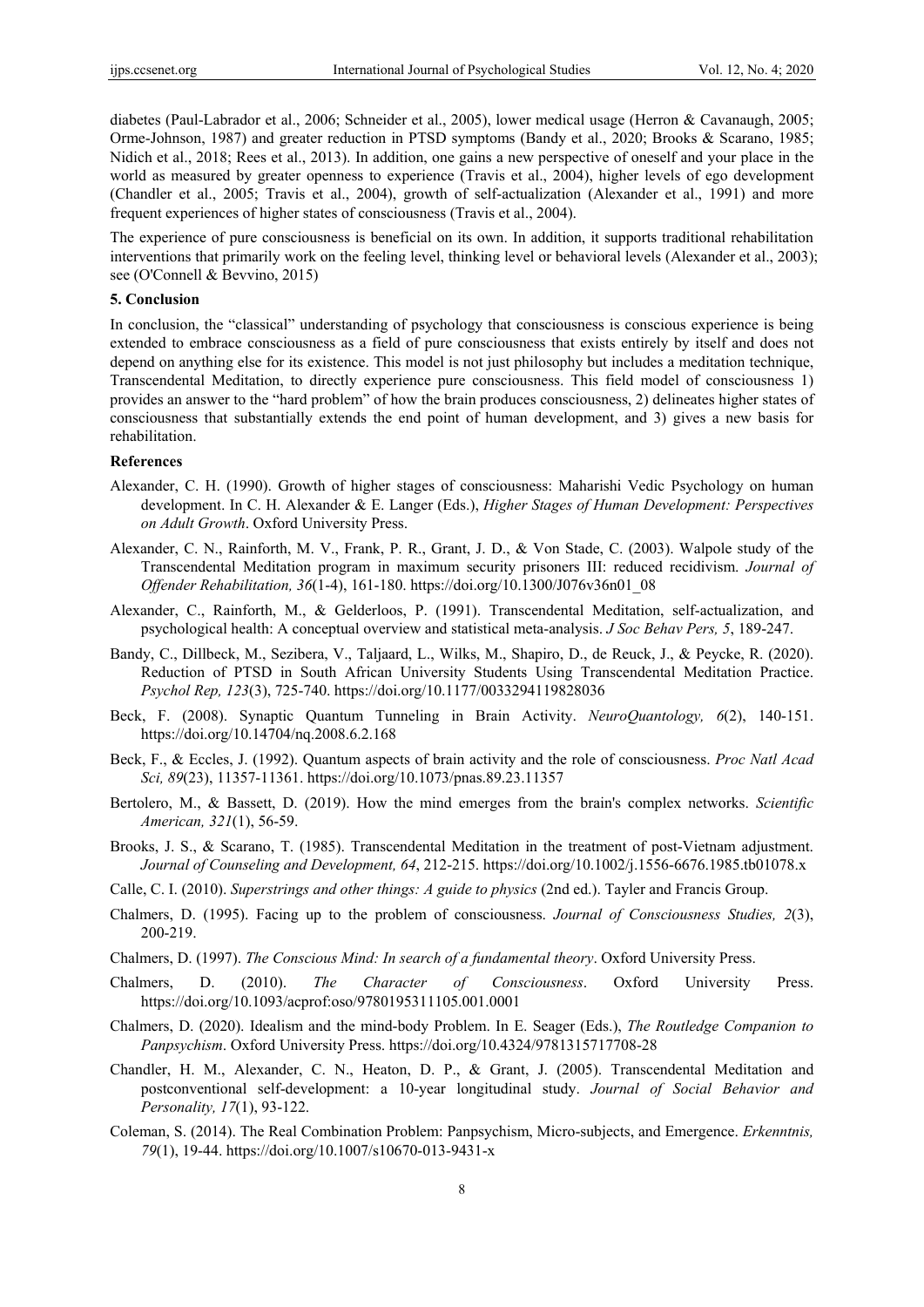diabetes (Paul-Labrador et al., 2006; Schneider et al., 2005), lower medical usage (Herron & Cavanaugh, 2005; Orme-Johnson, 1987) and greater reduction in PTSD symptoms (Bandy et al., 2020; Brooks & Scarano, 1985; Nidich et al., 2018; Rees et al., 2013). In addition, one gains a new perspective of oneself and your place in the world as measured by greater openness to experience (Travis et al., 2004), higher levels of ego development (Chandler et al., 2005; Travis et al., 2004), growth of self-actualization (Alexander et al., 1991) and more frequent experiences of higher states of consciousness (Travis et al., 2004).

The experience of pure consciousness is beneficial on its own. In addition, it supports traditional rehabilitation interventions that primarily work on the feeling level, thinking level or behavioral levels (Alexander et al., 2003); see (O'Connell & Bevvino, 2015)

# **5. Conclusion**

In conclusion, the "classical" understanding of psychology that consciousness is conscious experience is being extended to embrace consciousness as a field of pure consciousness that exists entirely by itself and does not depend on anything else for its existence. This model is not just philosophy but includes a meditation technique, Transcendental Meditation, to directly experience pure consciousness. This field model of consciousness 1) provides an answer to the "hard problem" of how the brain produces consciousness, 2) delineates higher states of consciousness that substantially extends the end point of human development, and 3) gives a new basis for rehabilitation.

## **References**

- Alexander, C. H. (1990). Growth of higher stages of consciousness: Maharishi Vedic Psychology on human development. In C. H. Alexander & E. Langer (Eds.), *Higher Stages of Human Development: Perspectives on Adult Growth*. Oxford University Press.
- Alexander, C. N., Rainforth, M. V., Frank, P. R., Grant, J. D., & Von Stade, C. (2003). Walpole study of the Transcendental Meditation program in maximum security prisoners III: reduced recidivism. *Journal of Offender Rehabilitation, 36*(1-4), 161-180. https://doi.org/10.1300/J076v36n01\_08
- Alexander, C., Rainforth, M., & Gelderloos, P. (1991). Transcendental Meditation, self-actualization, and psychological health: A conceptual overview and statistical meta-analysis. *J Soc Behav Pers, 5*, 189-247.
- Bandy, C., Dillbeck, M., Sezibera, V., Taljaard, L., Wilks, M., Shapiro, D., de Reuck, J., & Peycke, R. (2020). Reduction of PTSD in South African University Students Using Transcendental Meditation Practice. *Psychol Rep, 123*(3), 725-740. https://doi.org/10.1177/0033294119828036
- Beck, F. (2008). Synaptic Quantum Tunneling in Brain Activity. *NeuroQuantology, 6*(2), 140-151. https://doi.org/10.14704/nq.2008.6.2.168
- Beck, F., & Eccles, J. (1992). Quantum aspects of brain activity and the role of consciousness. *Proc Natl Acad Sci, 89*(23), 11357-11361. https://doi.org/10.1073/pnas.89.23.11357
- Bertolero, M., & Bassett, D. (2019). How the mind emerges from the brain's complex networks. *Scientific American, 321*(1), 56-59.
- Brooks, J. S., & Scarano, T. (1985). Transcendental Meditation in the treatment of post-Vietnam adjustment. *Journal of Counseling and Development, 64*, 212-215. https://doi.org/10.1002/j.1556-6676.1985.tb01078.x
- Calle, C. I. (2010). *Superstrings and other things: A guide to physics* (2nd ed.). Tayler and Francis Group.
- Chalmers, D. (1995). Facing up to the problem of consciousness. *Journal of Consciousness Studies, 2*(3), 200-219.
- Chalmers, D. (1997). *The Conscious Mind: In search of a fundamental theory*. Oxford University Press.
- Chalmers, D. (2010). *The Character of Consciousness*. Oxford University Press. https://doi.org/10.1093/acprof:oso/9780195311105.001.0001
- Chalmers, D. (2020). Idealism and the mind-body Problem. In E. Seager (Eds.), *The Routledge Companion to Panpsychism*. Oxford University Press. https://doi.org/10.4324/9781315717708-28
- Chandler, H. M., Alexander, C. N., Heaton, D. P., & Grant, J. (2005). Transcendental Meditation and postconventional self-development: a 10-year longitudinal study. *Journal of Social Behavior and Personality, 17*(1), 93-122.
- Coleman, S. (2014). The Real Combination Problem: Panpsychism, Micro-subjects, and Emergence. *Erkenntnis, 79*(1), 19-44. https://doi.org/10.1007/s10670-013-9431-x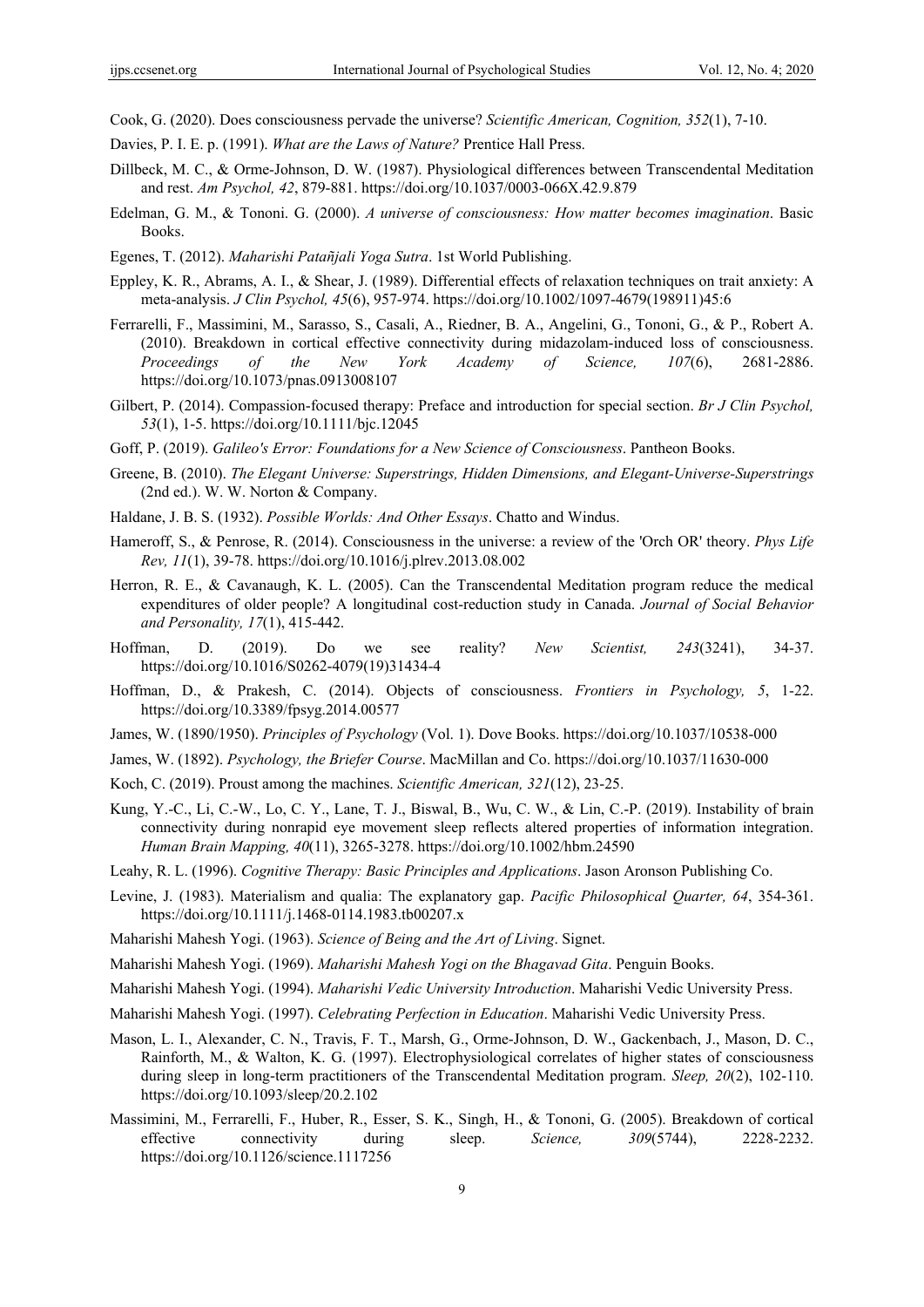Cook, G. (2020). Does consciousness pervade the universe? *Scientific American, Cognition, 352*(1), 7-10.

- Davies, P. I. E. p. (1991). *What are the Laws of Nature?* Prentice Hall Press.
- Dillbeck, M. C., & Orme-Johnson, D. W. (1987). Physiological differences between Transcendental Meditation and rest. *Am Psychol, 42*, 879-881. https://doi.org/10.1037/0003-066X.42.9.879
- Edelman, G. M., & Tononi. G. (2000). *A universe of consciousness: How matter becomes imagination*. Basic Books.
- Egenes, T. (2012). *Maharishi Patañjali Yoga Sutra*. 1st World Publishing.
- Eppley, K. R., Abrams, A. I., & Shear, J. (1989). Differential effects of relaxation techniques on trait anxiety: A meta-analysis. *J Clin Psychol, 45*(6), 957-974. https://doi.org/10.1002/1097-4679(198911)45:6
- Ferrarelli, F., Massimini, M., Sarasso, S., Casali, A., Riedner, B. A., Angelini, G., Tononi, G., & P., Robert A. (2010). Breakdown in cortical effective connectivity during midazolam-induced loss of consciousness. *Proceedings of the New York Academy of Science, 107*(6), 2681-2886. https://doi.org/10.1073/pnas.0913008107
- Gilbert, P. (2014). Compassion-focused therapy: Preface and introduction for special section. *Br J Clin Psychol, 53*(1), 1-5. https://doi.org/10.1111/bjc.12045
- Goff, P. (2019). *Galileo's Error: Foundations for a New Science of Consciousness*. Pantheon Books.
- Greene, B. (2010). *The Elegant Universe: Superstrings, Hidden Dimensions, and Elegant-Universe-Superstrings* (2nd ed.). W. W. Norton & Company.
- Haldane, J. B. S. (1932). *Possible Worlds: And Other Essays*. Chatto and Windus.
- Hameroff, S., & Penrose, R. (2014). Consciousness in the universe: a review of the 'Orch OR' theory. *Phys Life Rev, 11*(1), 39-78. https://doi.org/10.1016/j.plrev.2013.08.002
- Herron, R. E., & Cavanaugh, K. L. (2005). Can the Transcendental Meditation program reduce the medical expenditures of older people? A longitudinal cost-reduction study in Canada. *Journal of Social Behavior and Personality, 17*(1), 415-442.
- Hoffman, D. (2019). Do we see reality? *New Scientist, 243*(3241), 34-37. https://doi.org/10.1016/S0262-4079(19)31434-4
- Hoffman, D., & Prakesh, C. (2014). Objects of consciousness. *Frontiers in Psychology, 5*, 1-22. https://doi.org/10.3389/fpsyg.2014.00577
- James, W. (1890/1950). *Principles of Psychology* (Vol. 1). Dove Books. https://doi.org/10.1037/10538-000
- James, W. (1892). *Psychology, the Briefer Course*. MacMillan and Co. https://doi.org/10.1037/11630-000
- Koch, C. (2019). Proust among the machines. *Scientific American, 321*(12), 23-25.
- Kung, Y.-C., Li, C.-W., Lo, C. Y., Lane, T. J., Biswal, B., Wu, C. W., & Lin, C.-P. (2019). Instability of brain connectivity during nonrapid eye movement sleep reflects altered properties of information integration. *Human Brain Mapping, 40*(11), 3265-3278. https://doi.org/10.1002/hbm.24590
- Leahy, R. L. (1996). *Cognitive Therapy: Basic Principles and Applications*. Jason Aronson Publishing Co.
- Levine, J. (1983). Materialism and qualia: The explanatory gap. *Pacific Philosophical Quarter, 64*, 354-361. https://doi.org/10.1111/j.1468-0114.1983.tb00207.x
- Maharishi Mahesh Yogi. (1963). *Science of Being and the Art of Living*. Signet.
- Maharishi Mahesh Yogi. (1969). *Maharishi Mahesh Yogi on the Bhagavad Gita*. Penguin Books.
- Maharishi Mahesh Yogi. (1994). *Maharishi Vedic University Introduction*. Maharishi Vedic University Press.
- Maharishi Mahesh Yogi. (1997). *Celebrating Perfection in Education*. Maharishi Vedic University Press.
- Mason, L. I., Alexander, C. N., Travis, F. T., Marsh, G., Orme-Johnson, D. W., Gackenbach, J., Mason, D. C., Rainforth, M., & Walton, K. G. (1997). Electrophysiological correlates of higher states of consciousness during sleep in long-term practitioners of the Transcendental Meditation program. *Sleep, 20*(2), 102-110. https://doi.org/10.1093/sleep/20.2.102
- Massimini, M., Ferrarelli, F., Huber, R., Esser, S. K., Singh, H., & Tononi, G. (2005). Breakdown of cortical effective connectivity during sleep. *Science, 309*(5744), 2228-2232. https://doi.org/10.1126/science.1117256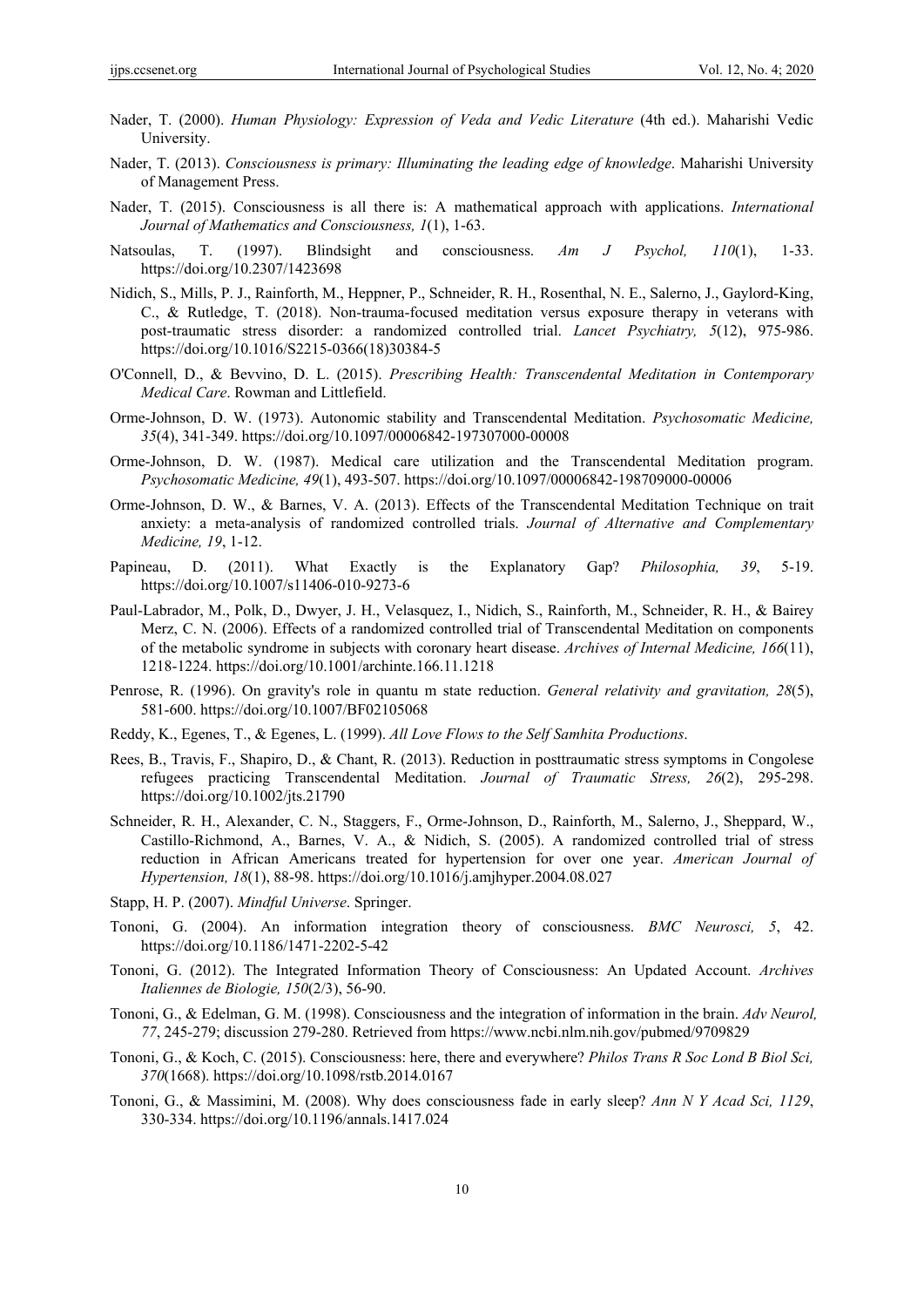- Nader, T. (2000). *Human Physiology: Expression of Veda and Vedic Literature* (4th ed.). Maharishi Vedic University.
- Nader, T. (2013). *Consciousness is primary: Illuminating the leading edge of knowledge*. Maharishi University of Management Press.
- Nader, T. (2015). Consciousness is all there is: A mathematical approach with applications. *International Journal of Mathematics and Consciousness, 1*(1), 1-63.
- Natsoulas, T. (1997). Blindsight and consciousness. *Am J Psychol, 110*(1), 1-33. https://doi.org/10.2307/1423698
- Nidich, S., Mills, P. J., Rainforth, M., Heppner, P., Schneider, R. H., Rosenthal, N. E., Salerno, J., Gaylord-King, C., & Rutledge, T. (2018). Non-trauma-focused meditation versus exposure therapy in veterans with post-traumatic stress disorder: a randomized controlled trial. *Lancet Psychiatry, 5*(12), 975-986. https://doi.org/10.1016/S2215-0366(18)30384-5
- O'Connell, D., & Bevvino, D. L. (2015). *Prescribing Health: Transcendental Meditation in Contemporary Medical Care*. Rowman and Littlefield.
- Orme-Johnson, D. W. (1973). Autonomic stability and Transcendental Meditation. *Psychosomatic Medicine, 35*(4), 341-349. https://doi.org/10.1097/00006842-197307000-00008
- Orme-Johnson, D. W. (1987). Medical care utilization and the Transcendental Meditation program. *Psychosomatic Medicine, 49*(1), 493-507. https://doi.org/10.1097/00006842-198709000-00006
- Orme-Johnson, D. W., & Barnes, V. A. (2013). Effects of the Transcendental Meditation Technique on trait anxiety: a meta-analysis of randomized controlled trials. *Journal of Alternative and Complementary Medicine, 19*, 1-12.
- Papineau, D. (2011). What Exactly is the Explanatory Gap? *Philosophia, 39*, 5-19. https://doi.org/10.1007/s11406-010-9273-6
- Paul-Labrador, M., Polk, D., Dwyer, J. H., Velasquez, I., Nidich, S., Rainforth, M., Schneider, R. H., & Bairey Merz, C. N. (2006). Effects of a randomized controlled trial of Transcendental Meditation on components of the metabolic syndrome in subjects with coronary heart disease. *Archives of Internal Medicine, 166*(11), 1218-1224. https://doi.org/10.1001/archinte.166.11.1218
- Penrose, R. (1996). On gravity's role in quantu m state reduction. *General relativity and gravitation, 28*(5), 581-600. https://doi.org/10.1007/BF02105068
- Reddy, K., Egenes, T., & Egenes, L. (1999). *All Love Flows to the Self Samhita Productions*.
- Rees, B., Travis, F., Shapiro, D., & Chant, R. (2013). Reduction in posttraumatic stress symptoms in Congolese refugees practicing Transcendental Meditation. *Journal of Traumatic Stress, 26*(2), 295-298. https://doi.org/10.1002/jts.21790
- Schneider, R. H., Alexander, C. N., Staggers, F., Orme-Johnson, D., Rainforth, M., Salerno, J., Sheppard, W., Castillo-Richmond, A., Barnes, V. A., & Nidich, S. (2005). A randomized controlled trial of stress reduction in African Americans treated for hypertension for over one year. *American Journal of Hypertension, 18*(1), 88-98. https://doi.org/10.1016/j.amjhyper.2004.08.027
- Stapp, H. P. (2007). *Mindful Universe*. Springer.
- Tononi, G. (2004). An information integration theory of consciousness. *BMC Neurosci, 5*, 42. https://doi.org/10.1186/1471-2202-5-42
- Tononi, G. (2012). The Integrated Information Theory of Consciousness: An Updated Account. *Archives Italiennes de Biologie, 150*(2/3), 56-90.
- Tononi, G., & Edelman, G. M. (1998). Consciousness and the integration of information in the brain. *Adv Neurol, 77*, 245-279; discussion 279-280. Retrieved from https://www.ncbi.nlm.nih.gov/pubmed/9709829
- Tononi, G., & Koch, C. (2015). Consciousness: here, there and everywhere? *Philos Trans R Soc Lond B Biol Sci, 370*(1668). https://doi.org/10.1098/rstb.2014.0167
- Tononi, G., & Massimini, M. (2008). Why does consciousness fade in early sleep? *Ann N Y Acad Sci, 1129*, 330-334. https://doi.org/10.1196/annals.1417.024